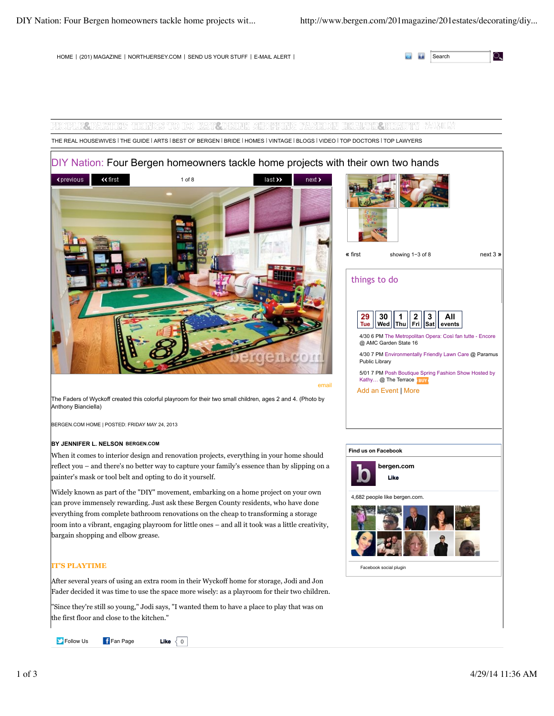HOME | (201) MAGAZINE | NORTHJERSEY.COM | SEND US YOUR STUFF | E-MAIL ALERT |

|  | Search<br>. |  |
|--|-------------|--|
|--|-------------|--|

# YEOPIA ZPETTIES HEIMES TO DO BETTEN KOHOPPINE SHOPPING PESTILON HEIMATE DERAUDT LASS THE REAL HOUSEWIVES | THE GUIDE | ARTS | BEST OF BERGEN | BRIDE | HOMES | VINTAGE | BLOGS | VIDEO | TOP DOCTORS | TOP LAWYERS

# DIY Nation: Four Bergen homeowners tackle home projects with their own two hands





# things to do

|                                                  |  |  |  |  | $\begin{array}{ c c c c c }\hline {\textbf{29}} & \textbf{30} & \textbf{1} & \textbf{2} & \textbf{3} & \textbf{All} \\ \hline \textbf{True} & \textbf{Wed} & \textbf{True} & \textbf{Fig} & \textbf{Sat} & \textbf{events} \\ \hline \end{array}$ |  |
|--------------------------------------------------|--|--|--|--|---------------------------------------------------------------------------------------------------------------------------------------------------------------------------------------------------------------------------------------------------|--|
| 4/20 6 DM The Metropolitan Opera: Cool fan tutte |  |  |  |  |                                                                                                                                                                                                                                                   |  |

tte - Encore @ AMC Garden State 16

4/30 7 PM Environmentally Friendly Lawn Care @ Paramus Public Library

5/01 7 PM Posh Boutique Spring Fashion Show Hosted by Kathy… @ The Terrace BUY

Add an Event | More

The Faders of Wyckoff created this colorful playroom for their two small children, ages 2 and 4. (Photo by Anthony Bianciella)

BERGEN.COM HOME | POSTED: FRIDAY MAY 24, 2013

### **BY JENNIFER L. NELSON BERGEN.COM**

When it comes to interior design and renovation projects, everything in your home should reflect you – and there's no better way to capture your family's essence than by slipping on a painter's mask or tool belt and opting to do it yourself.

Widely known as part of the "DIY" movement, embarking on a home project on your own can prove immensely rewarding. Just ask these Bergen County residents, who have done everything from complete bathroom renovations on the cheap to transforming a storage room into a vibrant, engaging playroom for little ones – and all it took was a little creativity, bargain shopping and elbow grease.

# **IT'S PLAYTIME**

After several years of using an extra room in their Wyckoff home for storage, Jodi and Jon Fader decided it was time to use the space more wisely: as a playroom for their two children.

"Since they're still so young," Jodi says, "I wanted them to have a place to play that was on the first floor and close to the kitchen."

**Figure 1** Fan Page **Like**  $\begin{bmatrix} 0 \end{bmatrix}$ 

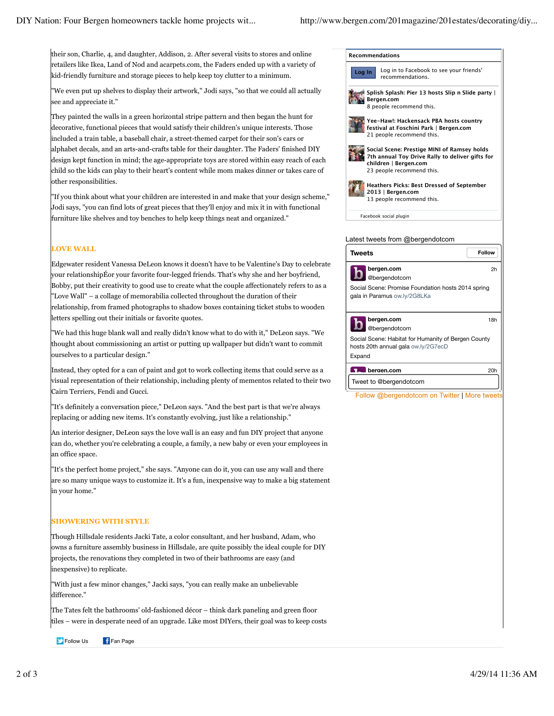their son, Charlie, 4, and daughter, Addison, 2. After several visits to stores and online retailers like Ikea, Land of Nod and acarpets.com, the Faders ended up with a variety of kid-friendly furniture and storage pieces to help keep toy clutter to a minimum.

"We even put up shelves to display their artwork," Jodi says, "so that we could all actually see and appreciate it."

They painted the walls in a green horizontal stripe pattern and then began the hunt for decorative, functional pieces that would satisfy their children's unique interests. Those included a train table, a baseball chair, a street-themed carpet for their son's cars or alphabet decals, and an arts-and-crafts table for their daughter. The Faders' finished DIY design kept function in mind; the age-appropriate toys are stored within easy reach of each child so the kids can play to their heart's content while mom makes dinner or takes care of other responsibilities.

"If you think about what your children are interested in and make that your design scheme," Jodi says, "you can find lots of great pieces that they'll enjoy and mix it in with functional furniture like shelves and toy benches to help keep things neat and organized."

### **LOVE WALL**

Edgewater resident Vanessa DeLeon knows it doesn't have to be Valentine's Day to celebrate your relationshipÉor your favorite four-legged friends. That's why she and her boyfriend, Bobby, put their creativity to good use to create what the couple affectionately refers to as a "Love Wall" – a collage of memorabilia collected throughout the duration of their relationship, from framed photographs to shadow boxes containing ticket stubs to wooden letters spelling out their initials or favorite quotes.

"We had this huge blank wall and really didn't know what to do with it," DeLeon says. "We thought about commissioning an artist or putting up wallpaper but didn't want to commit ourselves to a particular design."

Instead, they opted for a can of paint and got to work collecting items that could serve as a visual representation of their relationship, including plenty of mementos related to their two Cairn Terriers, Fendi and Gucci.

"It's definitely a conversation piece," DeLeon says. "And the best part is that we're always replacing or adding new items. It's constantly evolving, just like a relationship."

An interior designer, DeLeon says the love wall is an easy and fun DIY project that anyone can do, whether you're celebrating a couple, a family, a new baby or even your employees in an office space.

"It's the perfect home project," she says. "Anyone can do it, you can use any wall and there are so many unique ways to customize it. It's a fun, inexpensive way to make a big statement in your home."

#### **SHOWERING WITH STYLE**

Though Hillsdale residents Jacki Tate, a color consultant, and her husband, Adam, who owns a furniture assembly business in Hillsdale, are quite possibly the ideal couple for DIY projects, the renovations they completed in two of their bathrooms are easy (and inexpensive) to replicate.

"With just a few minor changes," Jacki says, "you can really make an unbelievable difference."

The Tates felt the bathrooms' old-fashioned décor – think dark paneling and green floor tiles – were in desperate need of an upgrade. Like most DIYers, their goal was to keep costs

**Follow Us** FFan Page

| Recommendations                                                                                                                                      |               |  |  |  |  |
|------------------------------------------------------------------------------------------------------------------------------------------------------|---------------|--|--|--|--|
| Log in to Facebook to see your friends'<br>Log In<br>recommendations.                                                                                |               |  |  |  |  |
| Splish Splash: Pier 13 hosts Slip n Slide party  <br>Bergen.com<br>8 people recommend this.                                                          |               |  |  |  |  |
| Yee-Haw!: Hackensack PBA hosts country<br>festival at Foschini Park   Bergen.com<br>21 people recommend this.                                        |               |  |  |  |  |
| Social Scene: Prestige MINI of Ramsey holds<br>7th annual Toy Drive Rally to deliver gifts for<br>children   Bergen.com<br>23 people recommend this. |               |  |  |  |  |
| Heathers Picks: Best Dressed of September<br>2013   Bergen.com<br>13 people recommend this.                                                          |               |  |  |  |  |
| Facebook social plugin                                                                                                                               |               |  |  |  |  |
|                                                                                                                                                      |               |  |  |  |  |
| Latest tweets from @bergendotcom                                                                                                                     |               |  |  |  |  |
| Tweets                                                                                                                                               | <b>Follow</b> |  |  |  |  |
| bergen.com<br>@bergendotcom                                                                                                                          | 2h            |  |  |  |  |
|                                                                                                                                                      |               |  |  |  |  |
| Social Scene: Promise Foundation hosts 2014 spring<br>gala in Paramus ow.ly/2G8LKa                                                                   |               |  |  |  |  |
| bergen.com                                                                                                                                           | 18h           |  |  |  |  |
| @bergendotcom                                                                                                                                        |               |  |  |  |  |
| Social Scene: Habitat for Humanity of Bergen County<br>hosts 20th annual gala ow.ly/2G7ecD                                                           |               |  |  |  |  |
| Expand                                                                                                                                               |               |  |  |  |  |
| <b>The bergen.com</b>                                                                                                                                | 20h           |  |  |  |  |
| Tweet to @bergendotcom                                                                                                                               |               |  |  |  |  |
| Follow @bergendotcom on Twitter   More tweets                                                                                                        |               |  |  |  |  |
|                                                                                                                                                      |               |  |  |  |  |
|                                                                                                                                                      |               |  |  |  |  |
|                                                                                                                                                      |               |  |  |  |  |
|                                                                                                                                                      |               |  |  |  |  |
|                                                                                                                                                      |               |  |  |  |  |
|                                                                                                                                                      |               |  |  |  |  |